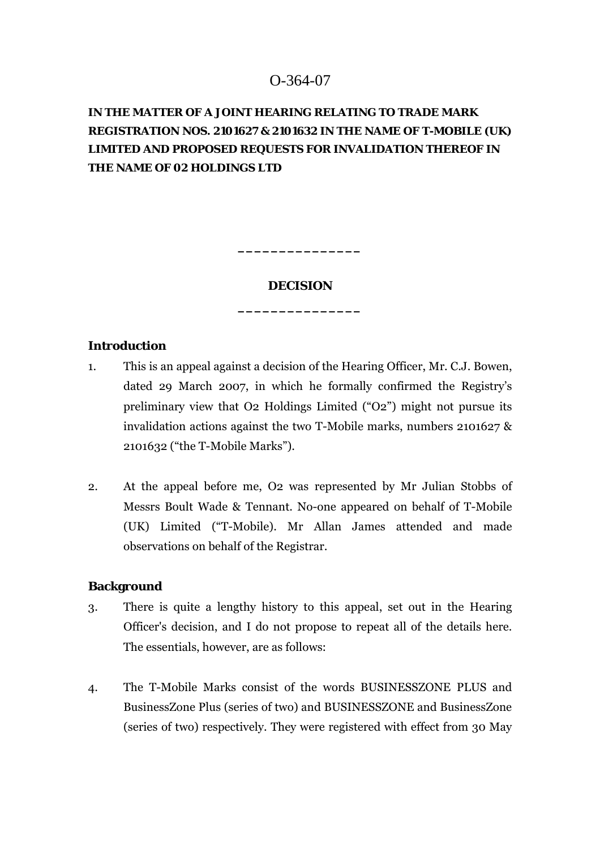# O-364-07

# **IN THE MATTER OF A JOINT HEARING RELATING TO TRADE MARK REGISTRATION NOS. 2101627 & 2101632 IN THE NAME OF T-MOBILE (UK) LIMITED AND PROPOSED REQUESTS FOR INVALIDATION THEREOF IN THE NAME OF 02 HOLDINGS LTD**

## **DECISION**

**\_\_\_\_\_\_\_\_\_\_\_\_\_\_\_** 

**\_\_\_\_\_\_\_\_\_\_\_\_\_\_\_** 

### **Introduction**

- 1. This is an appeal against a decision of the Hearing Officer, Mr. C.J. Bowen, dated 29 March 2007, in which he formally confirmed the Registry's preliminary view that O2 Holdings Limited ("O2") might not pursue its invalidation actions against the two T-Mobile marks, numbers 2101627 & 2101632 ("the T-Mobile Marks").
- 2. At the appeal before me, O2 was represented by Mr Julian Stobbs of Messrs Boult Wade & Tennant. No-one appeared on behalf of T-Mobile (UK) Limited ("T-Mobile). Mr Allan James attended and made observations on behalf of the Registrar.

### **Background**

- 3. There is quite a lengthy history to this appeal, set out in the Hearing Officer's decision, and I do not propose to repeat all of the details here. The essentials, however, are as follows:
- 4. The T-Mobile Marks consist of the words BUSINESSZONE PLUS and BusinessZone Plus (series of two) and BUSINESSZONE and BusinessZone (series of two) respectively. They were registered with effect from 30 May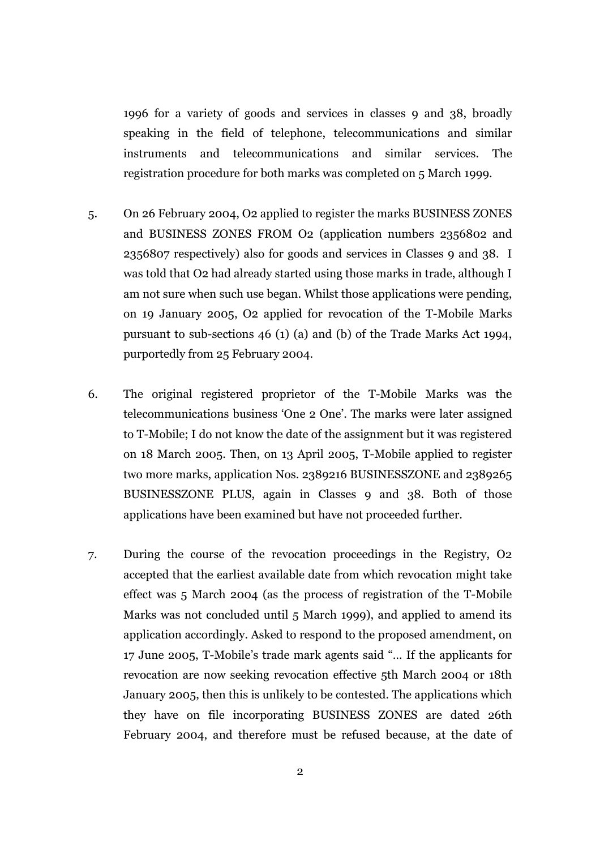1996 for a variety of goods and services in classes 9 and 38, broadly speaking in the field of telephone, telecommunications and similar instruments and telecommunications and similar services. The registration procedure for both marks was completed on 5 March 1999.

- 5. On 26 February 2004, O2 applied to register the marks BUSINESS ZONES and BUSINESS ZONES FROM O2 (application numbers 2356802 and 2356807 respectively) also for goods and services in Classes 9 and 38. I was told that O2 had already started using those marks in trade, although I am not sure when such use began. Whilst those applications were pending, on 19 January 2005, O2 applied for revocation of the T-Mobile Marks pursuant to sub-sections 46 (1) (a) and (b) of the Trade Marks Act 1994, purportedly from 25 February 2004.
- 6. The original registered proprietor of the T-Mobile Marks was the telecommunications business 'One 2 One'. The marks were later assigned to T-Mobile; I do not know the date of the assignment but it was registered on 18 March 2005. Then, on 13 April 2005, T-Mobile applied to register two more marks, application Nos. 2389216 BUSINESSZONE and 2389265 BUSINESSZONE PLUS, again in Classes 9 and 38. Both of those applications have been examined but have not proceeded further.
- 7. During the course of the revocation proceedings in the Registry, O2 accepted that the earliest available date from which revocation might take effect was 5 March 2004 (as the process of registration of the T-Mobile Marks was not concluded until 5 March 1999), and applied to amend its application accordingly. Asked to respond to the proposed amendment, on 17 June 2005, T-Mobile's trade mark agents said "… If the applicants for revocation are now seeking revocation effective 5th March 2004 or 18th January 2005, then this is unlikely to be contested. The applications which they have on file incorporating BUSINESS ZONES are dated 26th February 2004, and therefore must be refused because, at the date of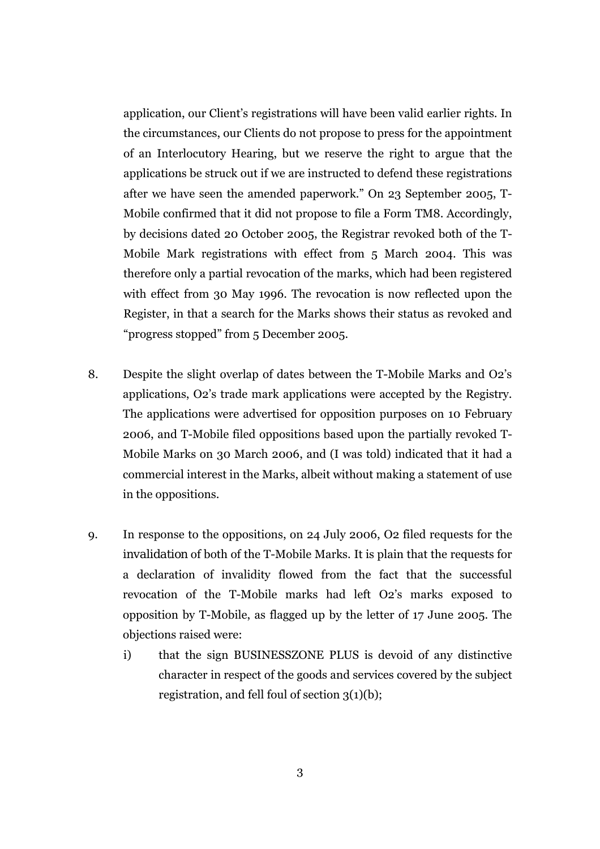application, our Client's registrations will have been valid earlier rights. In the circumstances, our Clients do not propose to press for the appointment of an Interlocutory Hearing, but we reserve the right to argue that the applications be struck out if we are instructed to defend these registrations after we have seen the amended paperwork." On 23 September 2005, T-Mobile confirmed that it did not propose to file a Form TM8. Accordingly, by decisions dated 20 October 2005, the Registrar revoked both of the T-Mobile Mark registrations with effect from 5 March 2004. This was therefore only a partial revocation of the marks, which had been registered with effect from 30 May 1996. The revocation is now reflected upon the Register, in that a search for the Marks shows their status as revoked and "progress stopped" from 5 December 2005.

- 8. Despite the slight overlap of dates between the T-Mobile Marks and O2's applications, O2's trade mark applications were accepted by the Registry. The applications were advertised for opposition purposes on 10 February 2006, and T-Mobile filed oppositions based upon the partially revoked T-Mobile Marks on 30 March 2006, and (I was told) indicated that it had a commercial interest in the Marks, albeit without making a statement of use in the oppositions.
- 9. In response to the oppositions, on 24 July 2006, O2 filed requests for the *invalidation* of both of the T-Mobile Marks. It is plain that the requests for a declaration of invalidity flowed from the fact that the successful revocation of the T-Mobile marks had left O2's marks exposed to opposition by T-Mobile, as flagged up by the letter of 17 June 2005. The objections raised were:
	- i) that the sign BUSINESSZONE PLUS is devoid of any distinctive character in respect of the goods and services covered by the subject registration, and fell foul of section 3(1)(b);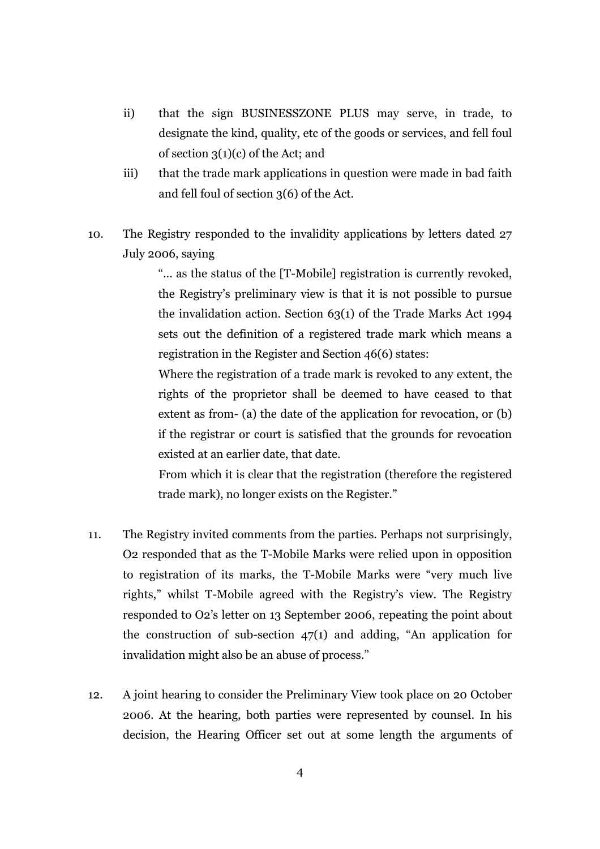- ii) that the sign BUSINESSZONE PLUS may serve, in trade, to designate the kind, quality, etc of the goods or services, and fell foul of section 3(1)(c) of the Act; and
- iii) that the trade mark applications in question were made in bad faith and fell foul of section 3(6) of the Act.
- 10. The Registry responded to the invalidity applications by letters dated 27 July 2006, saying

"… as the status of the [T-Mobile] registration is currently revoked, the Registry's preliminary view is that it is not possible to pursue the invalidation action. Section 63(1) of the Trade Marks Act 1994 sets out the definition of a registered trade mark which means a registration in the Register and Section 46(6) states:

Where the registration of a trade mark is revoked to any extent, the rights of the proprietor shall be deemed to have ceased to that extent as from- (a) the date of the application for revocation, or (b) if the registrar or court is satisfied that the grounds for revocation existed at an earlier date, that date.

From which it is clear that the registration (therefore the registered trade mark), no longer exists on the Register."

- 11. The Registry invited comments from the parties. Perhaps not surprisingly, O2 responded that as the T-Mobile Marks were relied upon in opposition to registration of its marks, the T-Mobile Marks were "very much live rights," whilst T-Mobile agreed with the Registry's view. The Registry responded to O2's letter on 13 September 2006, repeating the point about the construction of sub-section 47(1) and adding, "An application for invalidation might also be an abuse of process."
- 12. A joint hearing to consider the Preliminary View took place on 20 October 2006. At the hearing, both parties were represented by counsel. In his decision, the Hearing Officer set out at some length the arguments of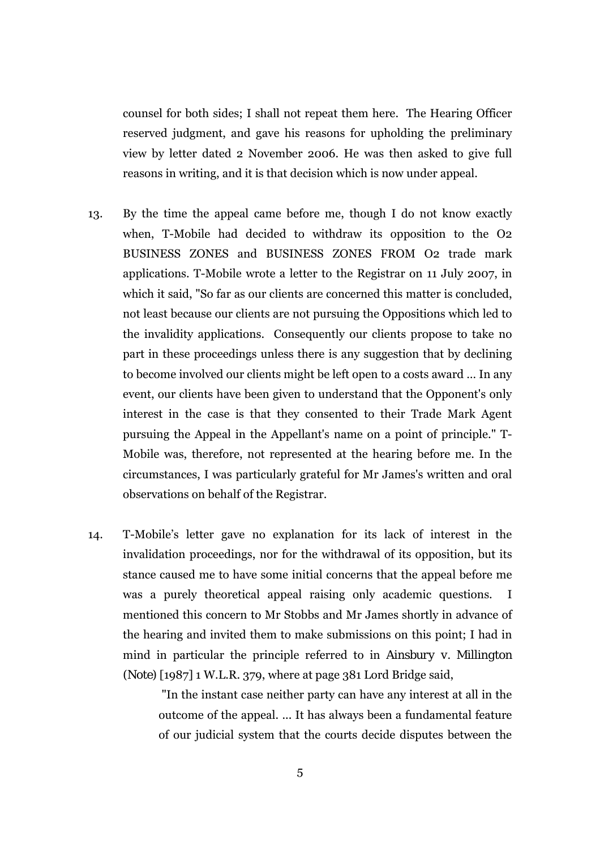counsel for both sides; I shall not repeat them here. The Hearing Officer reserved judgment, and gave his reasons for upholding the preliminary view by letter dated 2 November 2006. He was then asked to give full reasons in writing, and it is that decision which is now under appeal.

- 13. By the time the appeal came before me, though I do not know exactly when, T-Mobile had decided to withdraw its opposition to the O2 BUSINESS ZONES and BUSINESS ZONES FROM O2 trade mark applications. T-Mobile wrote a letter to the Registrar on 11 July 2007, in which it said, "So far as our clients are concerned this matter is concluded, not least because our clients are not pursuing the Oppositions which led to the invalidity applications. Consequently our clients propose to take no part in these proceedings unless there is any suggestion that by declining to become involved our clients might be left open to a costs award … In any event, our clients have been given to understand that the Opponent's only interest in the case is that they consented to their Trade Mark Agent pursuing the Appeal in the Appellant's name on a point of principle." T-Mobile was, therefore, not represented at the hearing before me. In the circumstances, I was particularly grateful for Mr James's written and oral observations on behalf of the Registrar.
- 14. T-Mobile's letter gave no explanation for its lack of interest in the invalidation proceedings, nor for the withdrawal of its opposition, but its stance caused me to have some initial concerns that the appeal before me was a purely theoretical appeal raising only academic questions. I mentioned this concern to Mr Stobbs and Mr James shortly in advance of the hearing and invited them to make submissions on this point; I had in mind in particular the principle referred to in *Ainsbury v. Millington (Note)* [1987] 1 W.L.R. 379, where at page 381 Lord Bridge said,

"In the instant case neither party can have any interest at all in the outcome of the appeal. ... It has always been a fundamental feature of our judicial system that the courts decide disputes between the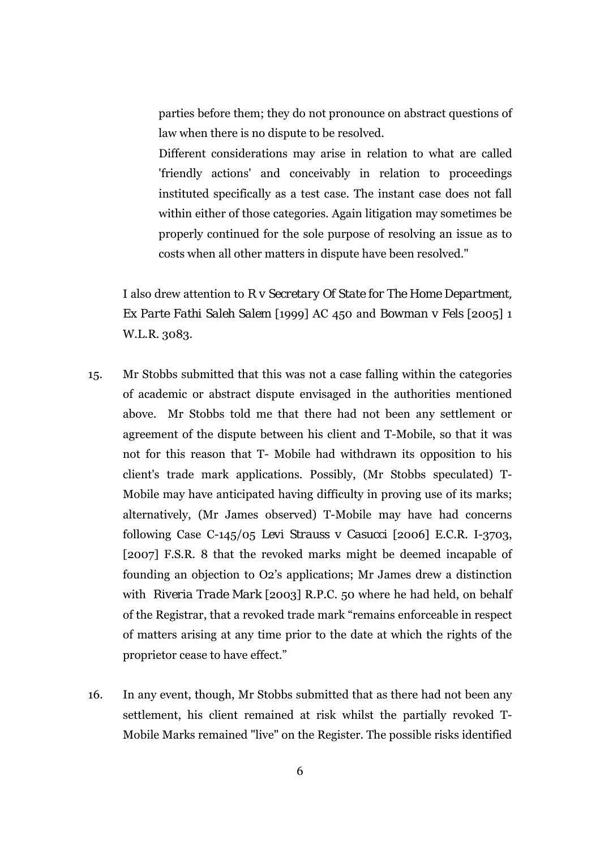parties before them; they do not pronounce on abstract questions of law when there is no dispute to be resolved.

Different considerations may arise in relation to what are called 'friendly actions' and conceivably in relation to proceedings instituted specifically as a test case. The instant case does not fall within either of those categories. Again litigation may sometimes be properly continued for the sole purpose of resolving an issue as to costs when all other matters in dispute have been resolved."

I also drew attention to *R v Secretary Of State for The Home Department, Ex Parte Fathi Saleh Salem* [1999] AC 450 and *Bowman v Fels* [2005] 1 W.L.R. 3083.

- 15. Mr Stobbs submitted that this was not a case falling within the categories of academic or abstract dispute envisaged in the authorities mentioned above. Mr Stobbs told me that there had not been any settlement or agreement of the dispute between his client and T-Mobile, so that it was not for this reason that T- Mobile had withdrawn its opposition to his client's trade mark applications. Possibly, (Mr Stobbs speculated) T-Mobile may have anticipated having difficulty in proving use of its marks; alternatively, (Mr James observed) T-Mobile may have had concerns following Case C-145/05 *Levi Strauss v Casucci* [2006] E.C.R. I-3703, [2007] F.S.R. 8 that the revoked marks might be deemed incapable of founding an objection to O2's applications; Mr James drew a distinction with *Riveria Trade Mark* [2003] R.P.C. 50 where he had held, on behalf of the Registrar, that a revoked trade mark "remains enforceable in respect of matters arising at any time prior to the date at which the rights of the proprietor cease to have effect."
- 16. In any event, though, Mr Stobbs submitted that as there had not been any settlement, his client remained at risk whilst the partially revoked T-Mobile Marks remained "live" on the Register. The possible risks identified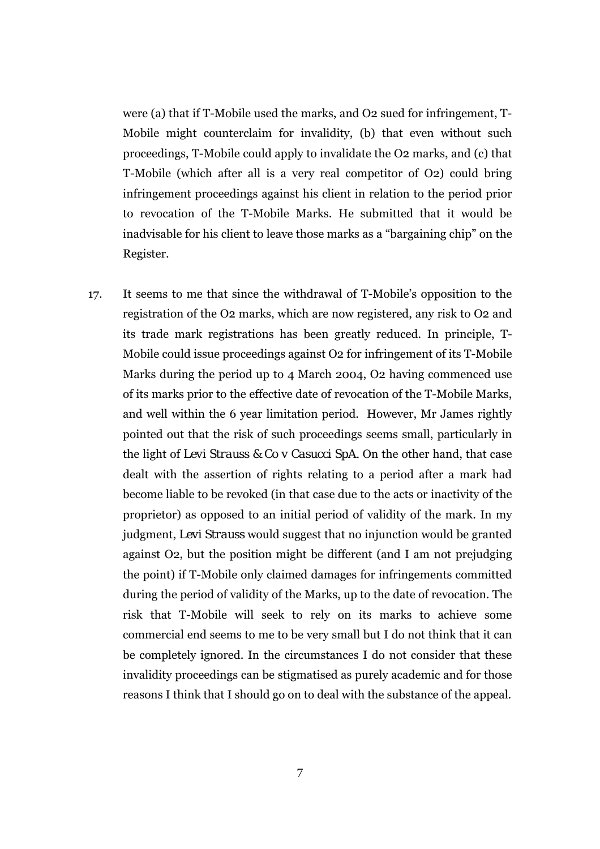were (a) that if T-Mobile used the marks, and O2 sued for infringement, T-Mobile might counterclaim for invalidity, (b) that even without such proceedings, T-Mobile could apply to invalidate the O2 marks, and (c) that T-Mobile (which after all is a very real competitor of O2) could bring infringement proceedings against his client in relation to the period prior to revocation of the T-Mobile Marks. He submitted that it would be inadvisable for his client to leave those marks as a "bargaining chip" on the Register.

17. It seems to me that since the withdrawal of T-Mobile's opposition to the registration of the O2 marks, which are now registered, any risk to O2 and its trade mark registrations has been greatly reduced. In principle, T-Mobile could issue proceedings against O2 for infringement of its T-Mobile Marks during the period up to 4 March 2004, O2 having commenced use of its marks prior to the effective date of revocation of the T-Mobile Marks, and well within the 6 year limitation period. However, Mr James rightly pointed out that the risk of such proceedings seems small, particularly in the light of *Levi Strauss & Co v Casucci SpA.* On the other hand, that case dealt with the assertion of rights relating to a period after a mark had become liable to be revoked (in that case due to the acts or inactivity of the proprietor) as opposed to an initial period of validity of the mark. In my judgment, *Levi Strauss* would suggest that no injunction would be granted against O2, but the position might be different (and I am not prejudging the point) if T-Mobile only claimed damages for infringements committed during the period of validity of the Marks, up to the date of revocation. The risk that T-Mobile will seek to rely on its marks to achieve some commercial end seems to me to be very small but I do not think that it can be completely ignored. In the circumstances I do not consider that these invalidity proceedings can be stigmatised as purely academic and for those reasons I think that I should go on to deal with the substance of the appeal.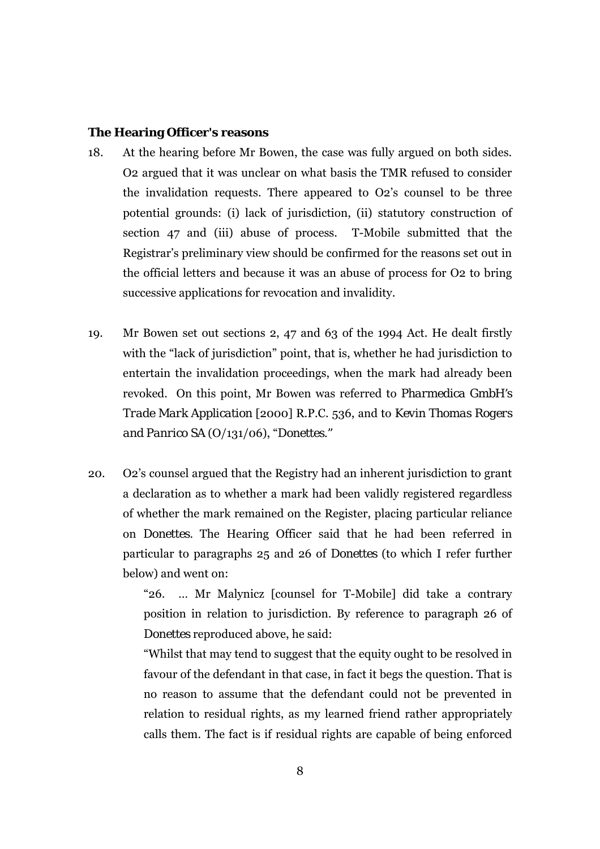#### **The Hearing Officer's reasons**

- 18. At the hearing before Mr Bowen, the case was fully argued on both sides. O2 argued that it was unclear on what basis the TMR refused to consider the invalidation requests. There appeared to O2's counsel to be three potential grounds: (i) lack of jurisdiction, (ii) statutory construction of section 47 and (iii) abuse of process. T-Mobile submitted that the Registrar's preliminary view should be confirmed for the reasons set out in the official letters and because it was an abuse of process for O2 to bring successive applications for revocation and invalidity.
- 19. Mr Bowen set out sections 2, 47 and 63 of the 1994 Act. He dealt firstly with the "lack of jurisdiction" point, that is, whether he had jurisdiction to entertain the invalidation proceedings, when the mark had already been revoked. On this point, Mr Bowen was referred to *Pharmedica GmbH's Trade Mark Application* [2000] R.P.C. 536, and to *Kevin Thomas Rogers and Panrico SA* (O/131/06), "*Donettes."*
- 20. O2's counsel argued that the Registry had an inherent jurisdiction to grant a declaration as to whether a mark had been validly registered regardless of whether the mark remained on the Register, placing particular reliance on *Donettes.* The Hearing Officer said that he had been referred in particular to paragraphs 25 and 26 of *Donettes* (to which I refer further below) and went on:

"26. … Mr Malynicz [counsel for T-Mobile] did take a contrary position in relation to jurisdiction. By reference to paragraph 26 of *Donettes* reproduced above, he said:

"Whilst that may tend to suggest that the equity ought to be resolved in favour of the defendant in that case, in fact it begs the question. That is no reason to assume that the defendant could not be prevented in relation to residual rights, as my learned friend rather appropriately calls them. The fact is if residual rights are capable of being enforced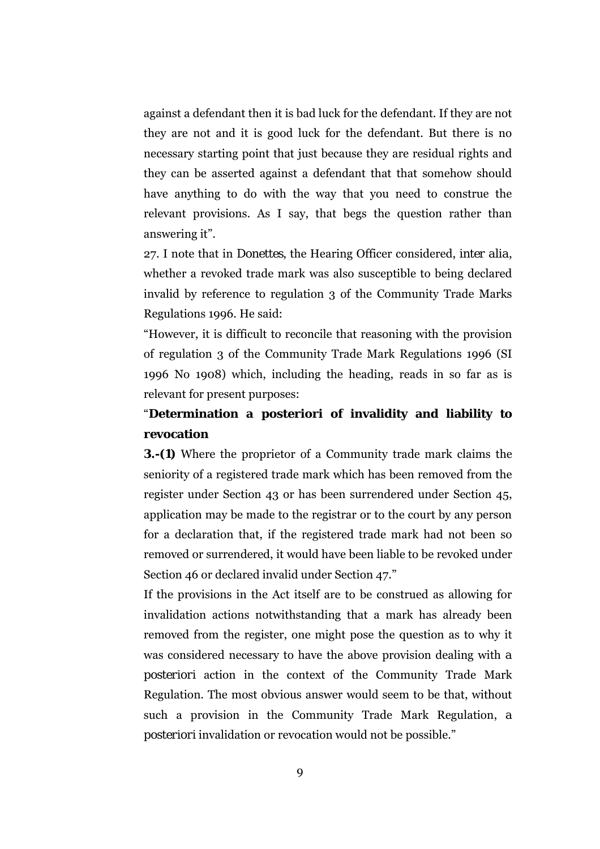against a defendant then it is bad luck for the defendant. If they are not they are not and it is good luck for the defendant. But there is no necessary starting point that just because they are residual rights and they can be asserted against a defendant that that somehow should have anything to do with the way that you need to construe the relevant provisions. As I say, that begs the question rather than answering it".

27. I note that in *Donettes*, the Hearing Officer considered, *inter alia*, whether a revoked trade mark was also susceptible to being declared invalid by reference to regulation 3 of the Community Trade Marks Regulations 1996. He said:

"However, it is difficult to reconcile that reasoning with the provision of regulation 3 of the Community Trade Mark Regulations 1996 (SI 1996 No 1908) which, including the heading, reads in so far as is relevant for present purposes:

# "**Determination** *a posteriori* **of invalidity and liability to revocation**

**3.-(1)** Where the proprietor of a Community trade mark claims the seniority of a registered trade mark which has been removed from the register under Section 43 or has been surrendered under Section 45, application may be made to the registrar or to the court by any person for a declaration that, if the registered trade mark had not been so removed or surrendered, it would have been liable to be revoked under Section 46 or declared invalid under Section 47."

If the provisions in the Act itself are to be construed as allowing for invalidation actions notwithstanding that a mark has already been removed from the register, one might pose the question as to why it was considered necessary to have the above provision dealing with *a posteriori* action in the context of the Community Trade Mark Regulation. The most obvious answer would seem to be that, without such a provision in the Community Trade Mark Regulation, *a posteriori* invalidation or revocation would not be possible."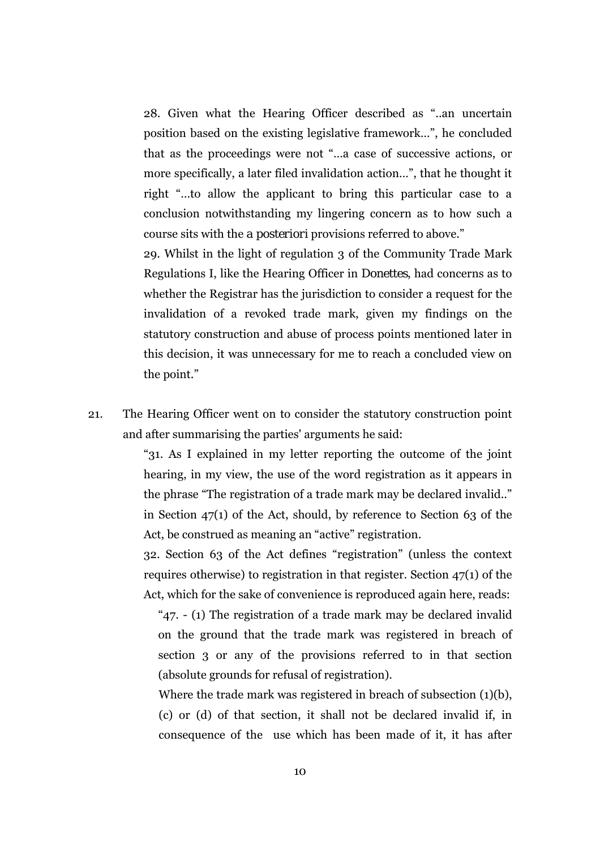28. Given what the Hearing Officer described as "..an uncertain position based on the existing legislative framework…", he concluded that as the proceedings were not "…a case of successive actions, or more specifically, a later filed invalidation action…", that he thought it right "…to allow the applicant to bring this particular case to a conclusion notwithstanding my lingering concern as to how such a course sits with the *a posteriori* provisions referred to above."

29. Whilst in the light of regulation 3 of the Community Trade Mark Regulations I, like the Hearing Officer in *Donettes*, had concerns as to whether the Registrar has the jurisdiction to consider a request for the invalidation of a revoked trade mark, given my findings on the statutory construction and abuse of process points mentioned later in this decision, it was unnecessary for me to reach a concluded view on the point."

21. The Hearing Officer went on to consider the statutory construction point and after summarising the parties' arguments he said:

> "31. As I explained in my letter reporting the outcome of the joint hearing, in my view, the use of the word registration as it appears in the phrase "The registration of a trade mark may be declared invalid.." in Section 47(1) of the Act, should, by reference to Section 63 of the Act, be construed as meaning an "active" registration.

> 32. Section 63 of the Act defines "registration" (unless the context requires otherwise) to registration in that register. Section 47(1) of the Act, which for the sake of convenience is reproduced again here, reads:

"47. - (1) The registration of a trade mark may be declared invalid on the ground that the trade mark was registered in breach of section 3 or any of the provisions referred to in that section (absolute grounds for refusal of registration).

Where the trade mark was registered in breach of subsection (1)(b), (c) or (d) of that section, it shall not be declared invalid if, in consequence of the use which has been made of it, it has after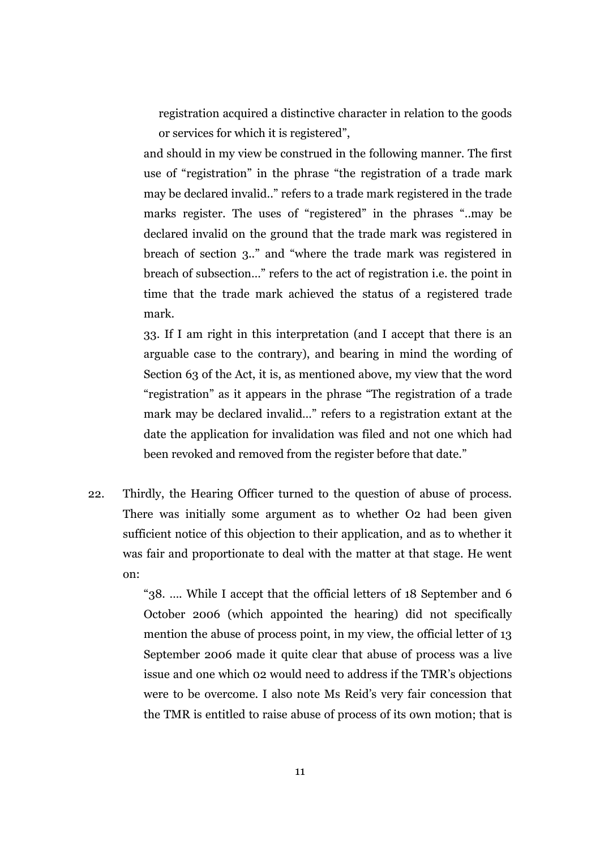registration acquired a distinctive character in relation to the goods or services for which it is registered",

and should in my view be construed in the following manner. The first use of "registration" in the phrase "the registration of a trade mark may be declared invalid.." refers to a trade mark registered in the trade marks register. The uses of "registered" in the phrases "..may be declared invalid on the ground that the trade mark was registered in breach of section 3.." and "where the trade mark was registered in breach of subsection…" refers to the act of registration i.e. the point in time that the trade mark achieved the status of a registered trade mark.

33. If I am right in this interpretation (and I accept that there is an arguable case to the contrary), and bearing in mind the wording of Section 63 of the Act, it is, as mentioned above, my view that the word "registration" as it appears in the phrase "The registration of a trade mark may be declared invalid…" refers to a registration extant at the date the application for invalidation was filed and not one which had been revoked and removed from the register before that date."

22. Thirdly, the Hearing Officer turned to the question of abuse of process. There was initially some argument as to whether O2 had been given sufficient notice of this objection to their application, and as to whether it was fair and proportionate to deal with the matter at that stage. He went on:

> "38. …. While I accept that the official letters of 18 September and 6 October 2006 (which appointed the hearing) did not specifically mention the abuse of process point, in my view, the official letter of 13 September 2006 made it quite clear that abuse of process was a live issue and one which 02 would need to address if the TMR's objections were to be overcome. I also note Ms Reid's very fair concession that the TMR is entitled to raise abuse of process of its own motion; that is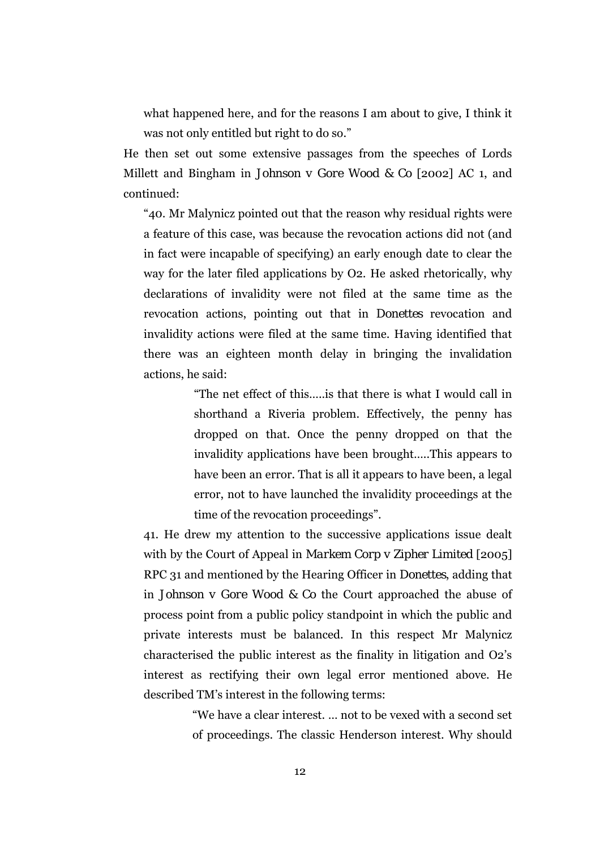what happened here, and for the reasons I am about to give, I think it was not only entitled but right to do so."

He then set out some extensive passages from the speeches of Lords Millett and Bingham in *Johnson v Gore Wood & Co* [2002] AC 1, and continued:

"40. Mr Malynicz pointed out that the reason why residual rights were a feature of this case, was because the revocation actions did not (and in fact were incapable of specifying) an early enough date to clear the way for the later filed applications by O2. He asked rhetorically, why declarations of invalidity were not filed at the same time as the revocation actions, pointing out that in *Donettes* revocation and invalidity actions were filed at the same time. Having identified that there was an eighteen month delay in bringing the invalidation actions, he said:

> "The net effect of this…..is that there is what I would call in shorthand a Riveria problem. Effectively, the penny has dropped on that. Once the penny dropped on that the invalidity applications have been brought…..This appears to have been an error. That is all it appears to have been, a legal error, not to have launched the invalidity proceedings at the time of the revocation proceedings".

41. He drew my attention to the successive applications issue dealt with by the Court of Appeal in *Markem Corp v Zipher Limited* [2005] RPC 31 and mentioned by the Hearing Officer in *Donettes*, adding that in *Johnson v Gore Wood & Co* the Court approached the abuse of process point from a public policy standpoint in which the public and private interests must be balanced. In this respect Mr Malynicz characterised the public interest as the finality in litigation and O2's interest as rectifying their own legal error mentioned above. He described TM's interest in the following terms:

> "We have a clear interest. … not to be vexed with a second set of proceedings. The classic Henderson interest. Why should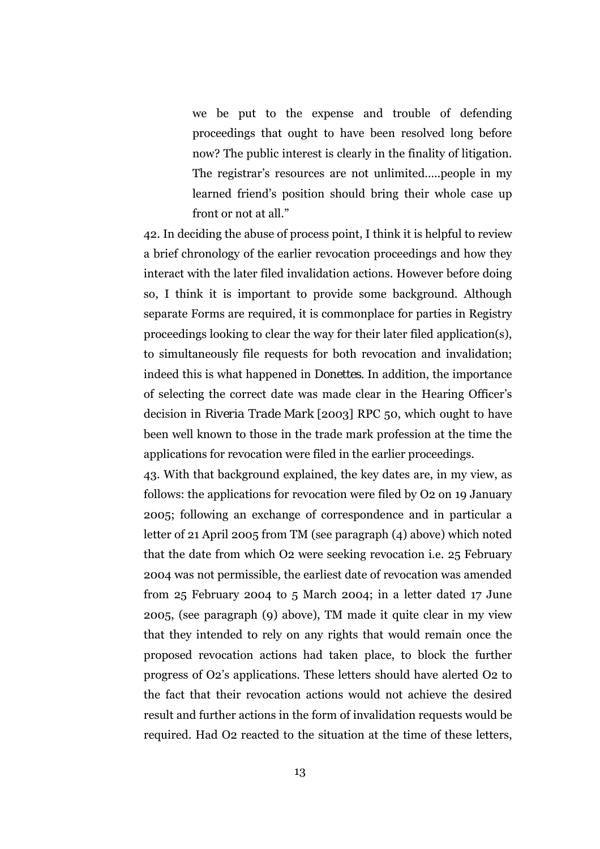we be put to the expense and trouble of defending proceedings that ought to have been resolved long before now? The public interest is clearly in the finality of litigation. The registrar's resources are not unlimited…..people in my learned friend's position should bring their whole case up front or not at all."

42. In deciding the abuse of process point, I think it is helpful to review a brief chronology of the earlier revocation proceedings and how they interact with the later filed invalidation actions. However before doing so, I think it is important to provide some background. Although separate Forms are required, it is commonplace for parties in Registry proceedings looking to clear the way for their later filed application(s), to simultaneously file requests for both revocation and invalidation; indeed this is what happened in *Donettes.* In addition, the importance of selecting the correct date was made clear in the Hearing Officer's decision in *Riveria Trade Mark* [2003] RPC 50, which ought to have been well known to those in the trade mark profession at the time the applications for revocation were filed in the earlier proceedings.

43. With that background explained, the key dates are, in my view, as follows: the applications for revocation were filed by O2 on 19 January 2005; following an exchange of correspondence and in particular a letter of 21 April 2005 from TM (see paragraph (4) above) which noted that the date from which O2 were seeking revocation i.e. 25 February 2004 was not permissible, the earliest date of revocation was amended from 25 February 2004 to 5 March 2004; in a letter dated 17 June 2005, (see paragraph (9) above), TM made it quite clear in my view that they intended to rely on any rights that would remain once the proposed revocation actions had taken place, to block the further progress of O2's applications. These letters should have alerted O2 to the fact that their revocation actions would not achieve the desired result and further actions in the form of invalidation requests would be required. Had O2 reacted to the situation at the time of these letters,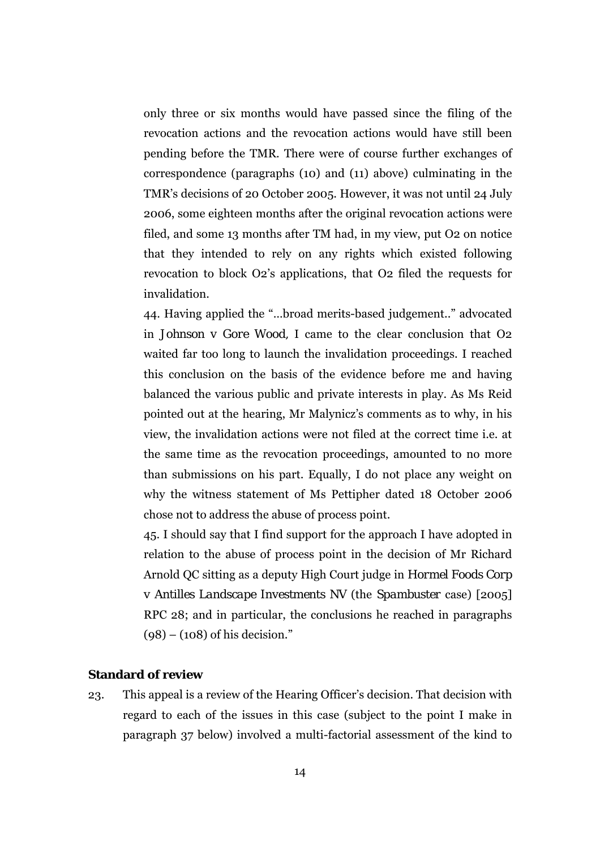only three or six months would have passed since the filing of the revocation actions and the revocation actions would have still been pending before the TMR. There were of course further exchanges of correspondence (paragraphs (10) and (11) above) culminating in the TMR's decisions of 20 October 2005. However, it was not until 24 July 2006, some eighteen months after the original revocation actions were filed, and some 13 months after TM had, in my view, put O2 on notice that they intended to rely on any rights which existed following revocation to block O2's applications, that O2 filed the requests for invalidation.

44. Having applied the "…broad merits-based judgement.." advocated in *Johnson v Gore Wood,* I came to the clear conclusion that O2 waited far too long to launch the invalidation proceedings. I reached this conclusion on the basis of the evidence before me and having balanced the various public and private interests in play. As Ms Reid pointed out at the hearing, Mr Malynicz's comments as to why, in his view, the invalidation actions were not filed at the correct time i.e. at the same time as the revocation proceedings, amounted to no more than submissions on his part. Equally, I do not place any weight on why the witness statement of Ms Pettipher dated 18 October 2006 chose not to address the abuse of process point.

45. I should say that I find support for the approach I have adopted in relation to the abuse of process point in the decision of Mr Richard Arnold QC sitting as a deputy High Court judge in *Hormel Foods Corp v Antilles Landscape Investments NV* (the *Spambuster* case) [2005] RPC 28; and in particular, the conclusions he reached in paragraphs  $(98) - (108)$  of his decision."

## **Standard of review**

23. This appeal is a review of the Hearing Officer's decision. That decision with regard to each of the issues in this case (subject to the point I make in paragraph 37 below) involved a multi-factorial assessment of the kind to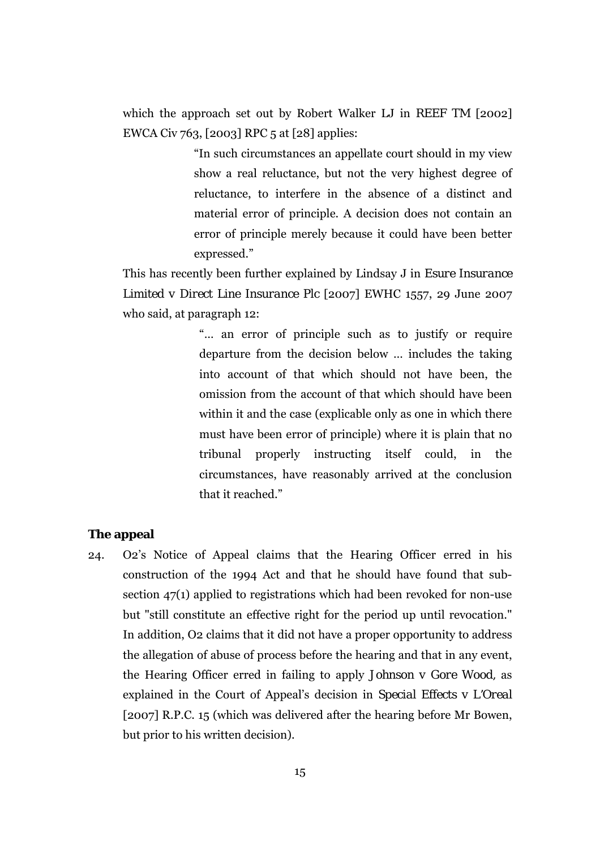which the approach set out by Robert Walker LJ in *REEF TM* [2002] EWCA Civ 763, [2003] RPC 5 at [28] applies:

> "In such circumstances an appellate court should in my view show a real reluctance, but not the very highest degree of reluctance, to interfere in the absence of a distinct and material error of principle. A decision does not contain an error of principle merely because it could have been better expressed."

This has recently been further explained by Lindsay J in *Esure Insurance Limited v Direct Line Insurance Plc* [2007] EWHC 1557, 29 June 2007 who said, at paragraph 12:

> "… an error of principle such as to justify or require departure from the decision below … includes the taking into account of that which should not have been, the omission from the account of that which should have been within it and the case (explicable only as one in which there must have been error of principle) where it is plain that no tribunal properly instructing itself could, in the circumstances, have reasonably arrived at the conclusion that it reached."

### **The appeal**

24. O2's Notice of Appeal claims that the Hearing Officer erred in his construction of the 1994 Act and that he should have found that subsection 47(1) applied to registrations which had been revoked for non-use but "still constitute an effective right for the period up until revocation." In addition, O2 claims that it did not have a proper opportunity to address the allegation of abuse of process before the hearing and that in any event, the Hearing Officer erred in failing to apply *Johnson v Gore Wood,* as explained in the Court of Appeal's decision in *Special Effects v L'Oreal*  [2007] R.P.C. 15 (which was delivered after the hearing before Mr Bowen, but prior to his written decision).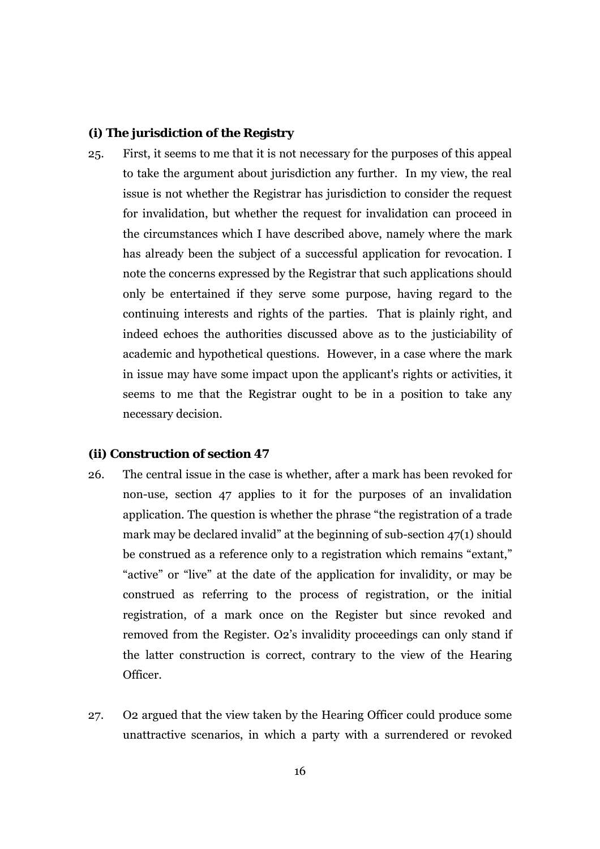#### **(i) The jurisdiction of the Registry**

25. First, it seems to me that it is not necessary for the purposes of this appeal to take the argument about jurisdiction any further. In my view, the real issue is not whether the Registrar has jurisdiction to consider the request for invalidation, but whether the request for invalidation can proceed in the circumstances which I have described above, namely where the mark has already been the subject of a successful application for revocation. I note the concerns expressed by the Registrar that such applications should only be entertained if they serve some purpose, having regard to the continuing interests and rights of the parties. That is plainly right, and indeed echoes the authorities discussed above as to the justiciability of academic and hypothetical questions. However, in a case where the mark in issue may have some impact upon the applicant's rights or activities, it seems to me that the Registrar ought to be in a position to take any necessary decision.

#### **(ii) Construction of section 47**

- 26. The central issue in the case is whether, after a mark has been revoked for non-use, section 47 applies to it for the purposes of an invalidation application. The question is whether the phrase "the registration of a trade mark may be declared invalid" at the beginning of sub-section 47(1) should be construed as a reference only to a registration which remains "extant," "active" or "live" at the date of the application for invalidity, or may be construed as referring to the process of registration, or the initial registration, of a mark once on the Register but since revoked and removed from the Register. O2's invalidity proceedings can only stand if the latter construction is correct, contrary to the view of the Hearing Officer.
- 27. O2 argued that the view taken by the Hearing Officer could produce some unattractive scenarios, in which a party with a surrendered or revoked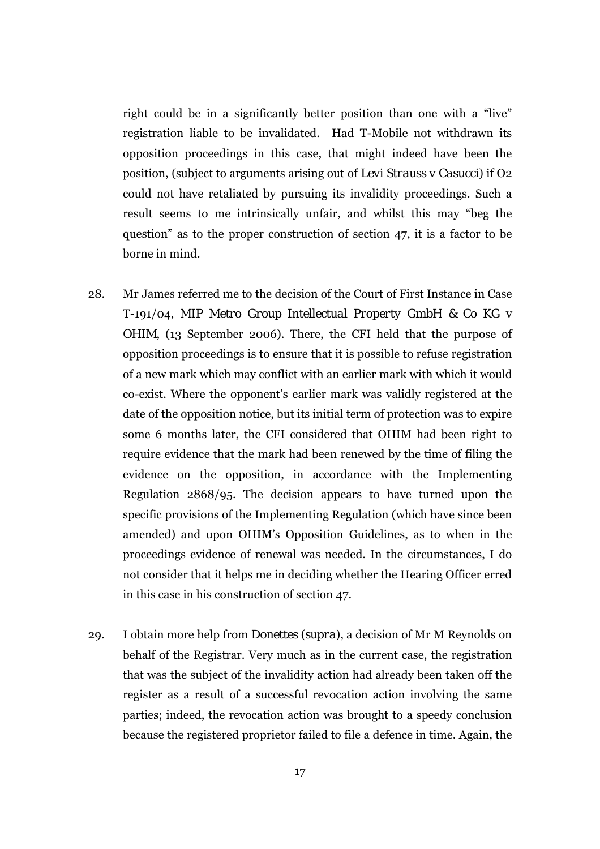right could be in a significantly better position than one with a "live" registration liable to be invalidated. Had T-Mobile not withdrawn its opposition proceedings in this case, that might indeed have been the position, (subject to arguments arising out of *Levi Strauss v Casucci*) if O2 could not have retaliated by pursuing its invalidity proceedings. Such a result seems to me intrinsically unfair, and whilst this may "beg the question" as to the proper construction of section 47, it is a factor to be borne in mind.

- 28. Mr James referred me to the decision of the Court of First Instance in Case T-191/04, *MIP Metro Group Intellectual Property GmbH & Co KG v OHIM*, (13 September 2006). There, the CFI held that the purpose of opposition proceedings is to ensure that it is possible to refuse registration of a new mark which may conflict with an earlier mark with which it would co-exist. Where the opponent's earlier mark was validly registered at the date of the opposition notice, but its initial term of protection was to expire some 6 months later, the CFI considered that OHIM had been right to require evidence that the mark had been renewed by the time of filing the evidence on the opposition, in accordance with the Implementing Regulation 2868/95. The decision appears to have turned upon the specific provisions of the Implementing Regulation (which have since been amended) and upon OHIM's Opposition Guidelines, as to when in the proceedings evidence of renewal was needed. In the circumstances, I do not consider that it helps me in deciding whether the Hearing Officer erred in this case in his construction of section 47.
- 29. I obtain more help from *Donettes (supra)*, a decision of Mr M Reynolds on behalf of the Registrar. Very much as in the current case, the registration that was the subject of the invalidity action had already been taken off the register as a result of a successful revocation action involving the same parties; indeed, the revocation action was brought to a speedy conclusion because the registered proprietor failed to file a defence in time. Again, the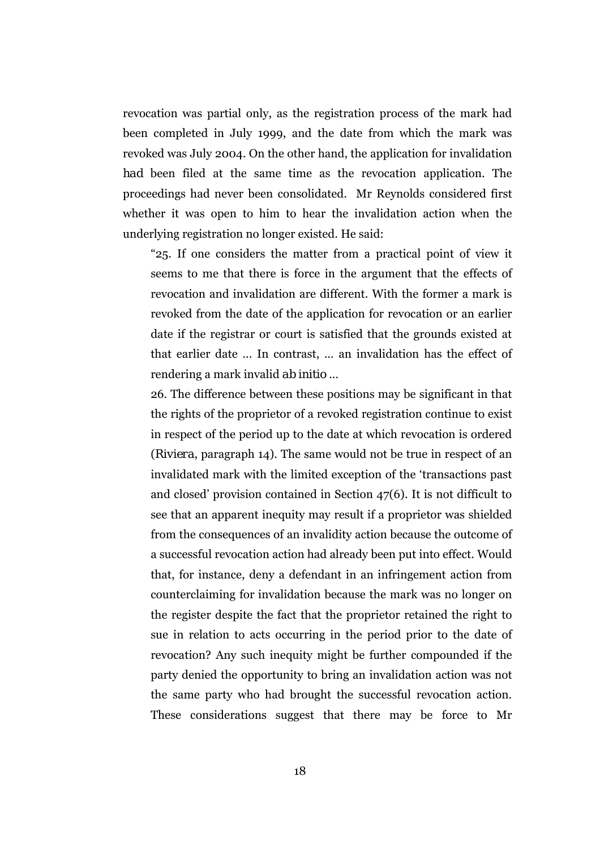revocation was partial only, as the registration process of the mark had been completed in July 1999, and the date from which the mark was revoked was July 2004. On the other hand, the application for invalidation *had* been filed at the same time as the revocation application. The proceedings had never been consolidated. Mr Reynolds considered first whether it was open to him to hear the invalidation action when the underlying registration no longer existed. He said:

"25. If one considers the matter from a practical point of view it seems to me that there is force in the argument that the effects of revocation and invalidation are different. With the former a mark is revoked from the date of the application for revocation or an earlier date if the registrar or court is satisfied that the grounds existed at that earlier date ... In contrast, … an invalidation has the effect of rendering a mark invalid *ab initio* …

26. The difference between these positions may be significant in that the rights of the proprietor of a revoked registration continue to exist in respect of the period up to the date at which revocation is ordered (*Riviera*, paragraph 14). The same would not be true in respect of an invalidated mark with the limited exception of the 'transactions past and closed' provision contained in Section 47(6). It is not difficult to see that an apparent inequity may result if a proprietor was shielded from the consequences of an invalidity action because the outcome of a successful revocation action had already been put into effect. Would that, for instance, deny a defendant in an infringement action from counterclaiming for invalidation because the mark was no longer on the register despite the fact that the proprietor retained the right to sue in relation to acts occurring in the period prior to the date of revocation? Any such inequity might be further compounded if the party denied the opportunity to bring an invalidation action was not the same party who had brought the successful revocation action. These considerations suggest that there may be force to Mr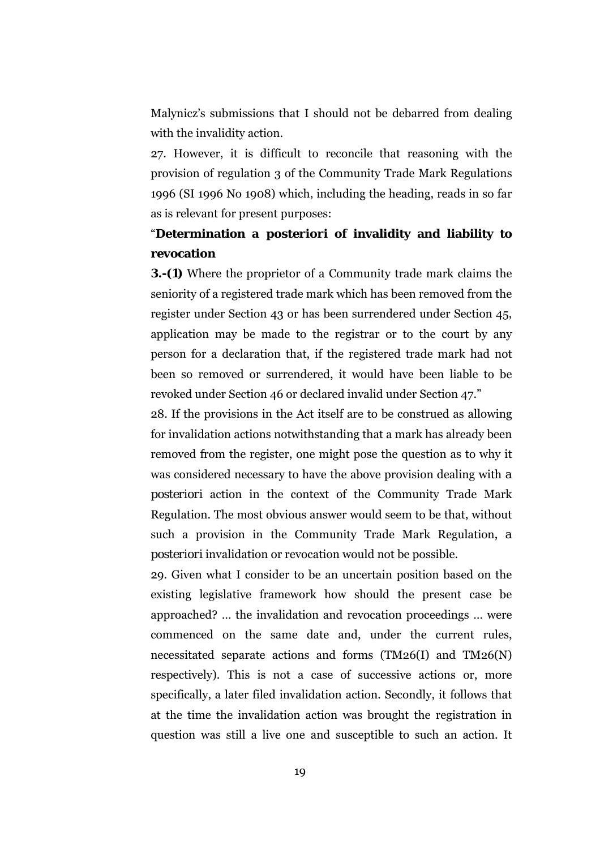Malynicz's submissions that I should not be debarred from dealing with the invalidity action.

27. However, it is difficult to reconcile that reasoning with the provision of regulation 3 of the Community Trade Mark Regulations 1996 (SI 1996 No 1908) which, including the heading, reads in so far as is relevant for present purposes:

# "**Determination** *a posteriori* **of invalidity and liability to revocation**

**3.-(1)** Where the proprietor of a Community trade mark claims the seniority of a registered trade mark which has been removed from the register under Section 43 or has been surrendered under Section 45, application may be made to the registrar or to the court by any person for a declaration that, if the registered trade mark had not been so removed or surrendered, it would have been liable to be revoked under Section 46 or declared invalid under Section 47."

28. If the provisions in the Act itself are to be construed as allowing for invalidation actions notwithstanding that a mark has already been removed from the register, one might pose the question as to why it was considered necessary to have the above provision dealing with *a posteriori* action in the context of the Community Trade Mark Regulation. The most obvious answer would seem to be that, without such a provision in the Community Trade Mark Regulation, *a posteriori* invalidation or revocation would not be possible.

29. Given what I consider to be an uncertain position based on the existing legislative framework how should the present case be approached? … the invalidation and revocation proceedings … were commenced on the same date and, under the current rules, necessitated separate actions and forms (TM26(I) and TM26(N) respectively). This is not a case of successive actions or, more specifically, a later filed invalidation action. Secondly, it follows that at the time the invalidation action was brought the registration in question was still a live one and susceptible to such an action. It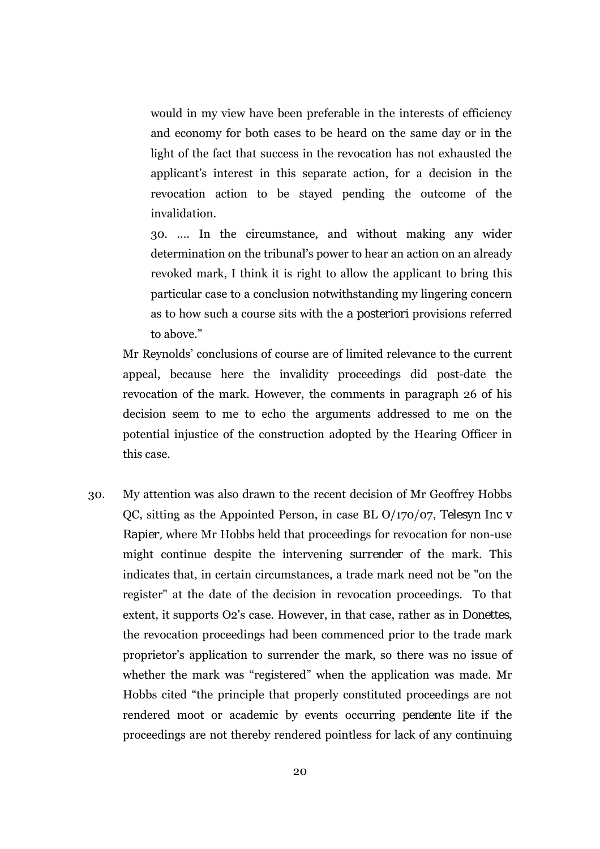would in my view have been preferable in the interests of efficiency and economy for both cases to be heard on the same day or in the light of the fact that success in the revocation has not exhausted the applicant's interest in this separate action, for a decision in the revocation action to be stayed pending the outcome of the invalidation.

30. …. In the circumstance, and without making any wider determination on the tribunal's power to hear an action on an already revoked mark, I think it is right to allow the applicant to bring this particular case to a conclusion notwithstanding my lingering concern as to how such a course sits with the *a posteriori* provisions referred to above."

Mr Reynolds' conclusions of course are of limited relevance to the current appeal, because here the invalidity proceedings did post-date the revocation of the mark. However, the comments in paragraph 26 of his decision seem to me to echo the arguments addressed to me on the potential injustice of the construction adopted by the Hearing Officer in this case.

30. My attention was also drawn to the recent decision of Mr Geoffrey Hobbs QC, sitting as the Appointed Person, in case BL O/170/07, *Telesyn Inc v Rapier,* where Mr Hobbs held that proceedings for revocation for non-use might continue despite the intervening *surrender* of the mark. This indicates that, in certain circumstances, a trade mark need not be "on the register" at the date of the decision in revocation proceedings. To that extent, it supports O2's case. However, in that case, rather as in *Donettes*, the revocation proceedings had been commenced prior to the trade mark proprietor's application to surrender the mark, so there was no issue of whether the mark was "registered" when the application was made. Mr Hobbs cited "the principle that properly constituted proceedings are not rendered moot or academic by events occurring *pendente lite* if the proceedings are not thereby rendered pointless for lack of any continuing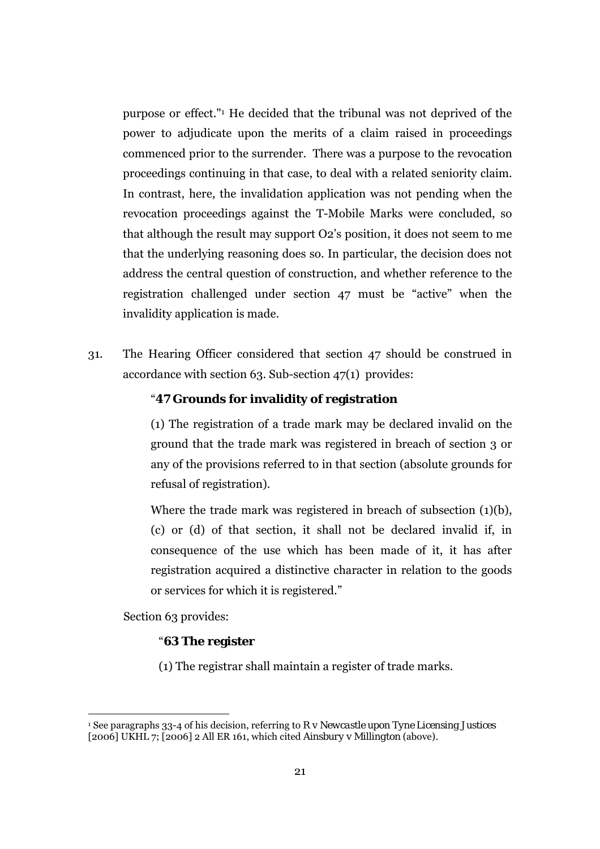purpose or effect."1 He decided that the tribunal was not deprived of the power to adjudicate upon the merits of a claim raised in proceedings commenced prior to the surrender. There was a purpose to the revocation proceedings continuing in that case, to deal with a related seniority claim. In contrast, here, the invalidation application was not pending when the revocation proceedings against the T-Mobile Marks were concluded, so that although the result may support O2's position, it does not seem to me that the underlying reasoning does so. In particular, the decision does not address the central question of construction, and whether reference to the registration challenged under section 47 must be "active" when the invalidity application is made.

31. The Hearing Officer considered that section 47 should be construed in accordance with section 63. Sub-section 47(1) provides:

## "**47 Grounds for invalidity of registration**

(1) The registration of a trade mark may be declared invalid on the ground that the trade mark was registered in breach of section 3 or any of the provisions referred to in that section (absolute grounds for refusal of registration).

Where the trade mark was registered in breach of subsection (1)(b), (c) or (d) of that section, it shall not be declared invalid if, in consequence of the use which has been made of it, it has after registration acquired a distinctive character in relation to the goods or services for which it is registered."

Section 63 provides:

 $\overline{a}$ 

#### "**63 The register**

(1) The registrar shall maintain a register of trade marks.

<sup>1</sup> See paragraphs 33-4 of his decision, referring to *R v Newcastle upon Tyne Licensing Justices*  [2006] UKHL 7; [2006] 2 All ER 161, which cited *Ainsbury v Millington (*above*).*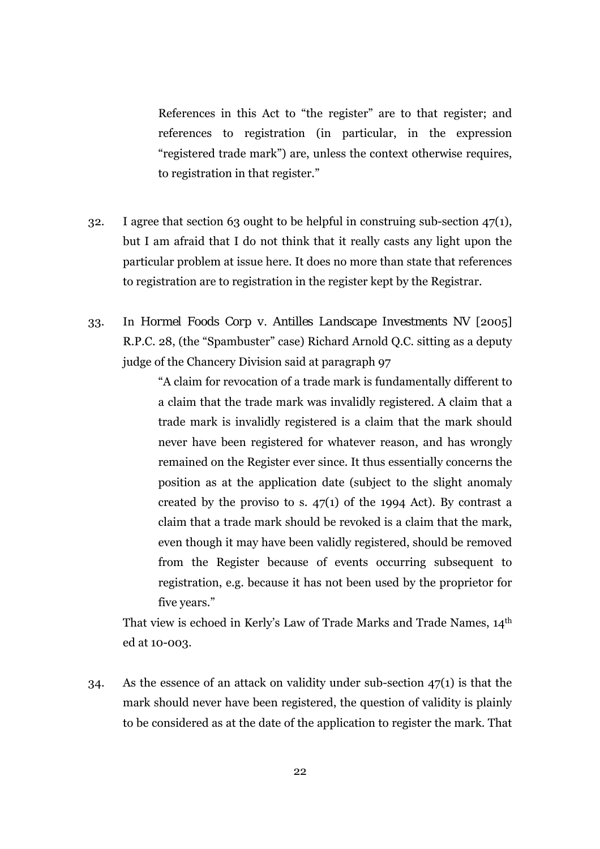References in this Act to "the register" are to that register; and references to registration (in particular, in the expression "registered trade mark") are, unless the context otherwise requires, to registration in that register."

- 32. I agree that section 63 ought to be helpful in construing sub-section 47(1), but I am afraid that I do not think that it really casts any light upon the particular problem at issue here. It does no more than state that references to registration are to registration in the register kept by the Registrar.
- 33. In *Hormel Foods Corp v. Antilles Landscape Investments NV* [2005] R.P.C. 28, (the "Spambuster" case) Richard Arnold Q.C. sitting as a deputy judge of the Chancery Division said at paragraph 97

"A claim for revocation of a trade mark is fundamentally different to a claim that the trade mark was invalidly registered. A claim that a trade mark is invalidly registered is a claim that the mark should never have been registered for whatever reason, and has wrongly remained on the Register ever since. It thus essentially concerns the position as at the application date (subject to the slight anomaly created by the proviso to s.  $47(1)$  of the 1994 Act). By contrast a claim that a trade mark should be revoked is a claim that the mark, even though it may have been validly registered, should be removed from the Register because of events occurring subsequent to registration, e.g. because it has not been used by the proprietor for five years."

That view is echoed in Kerly's Law of Trade Marks and Trade Names, 14th ed at 10-003.

34. As the essence of an attack on validity under sub-section 47(1) is that the mark should never have been registered, the question of validity is plainly to be considered as at the date of the application to register the mark. That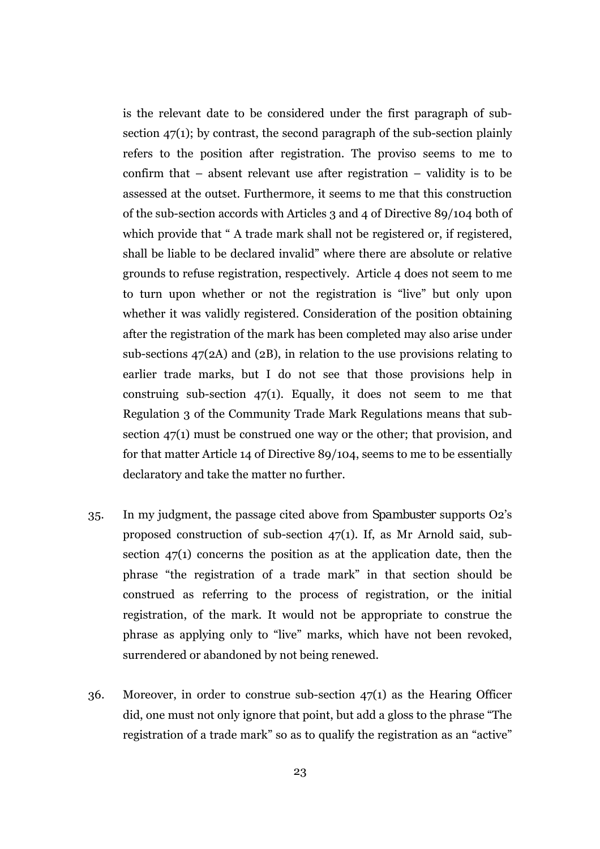is the relevant date to be considered under the first paragraph of subsection 47(1); by contrast, the second paragraph of the sub-section plainly refers to the position after registration. The proviso seems to me to confirm that – absent relevant use after registration – validity is to be assessed at the outset. Furthermore, it seems to me that this construction of the sub-section accords with Articles 3 and 4 of Directive 89/104 both of which provide that " A trade mark shall not be registered or, if registered, shall be liable to be declared invalid" where there are absolute or relative grounds to refuse registration, respectively. Article 4 does not seem to me to turn upon whether or not the registration is "live" but only upon whether it was validly registered. Consideration of the position obtaining after the registration of the mark has been completed may also arise under sub-sections 47(2A) and (2B), in relation to the use provisions relating to earlier trade marks, but I do not see that those provisions help in construing sub-section  $47(1)$ . Equally, it does not seem to me that Regulation 3 of the Community Trade Mark Regulations means that subsection 47(1) must be construed one way or the other; that provision, and for that matter Article 14 of Directive 89/104, seems to me to be essentially declaratory and take the matter no further.

- 35. In my judgment, the passage cited above from *Spambuster* supports O2's proposed construction of sub-section 47(1). If, as Mr Arnold said, subsection 47(1) concerns the position as at the application date, then the phrase "the registration of a trade mark" in that section should be construed as referring to the process of registration, or the initial registration, of the mark. It would not be appropriate to construe the phrase as applying only to "live" marks, which have not been revoked, surrendered or abandoned by not being renewed.
- 36. Moreover, in order to construe sub-section 47(1) as the Hearing Officer did, one must not only ignore that point, but add a gloss to the phrase "The registration of a trade mark" so as to qualify the registration as an "active"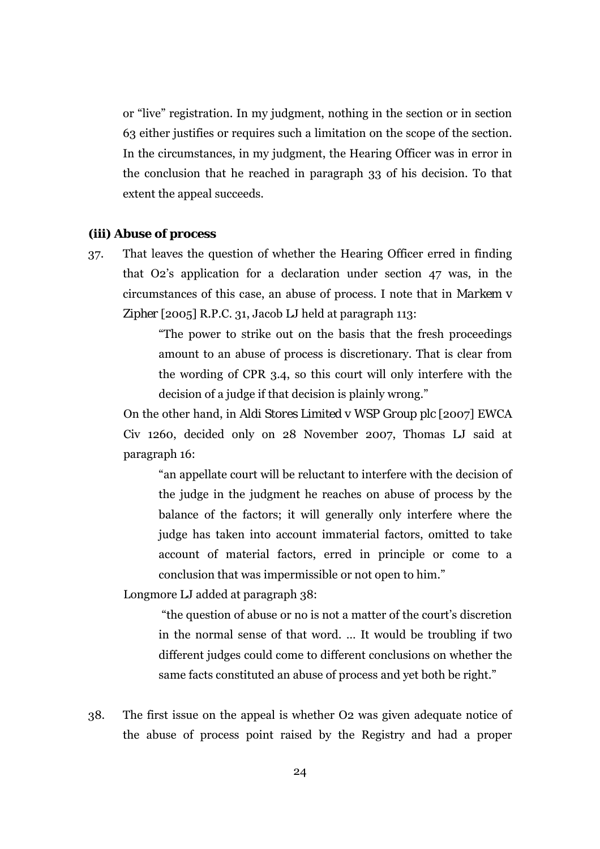or "live" registration. In my judgment, nothing in the section or in section 63 either justifies or requires such a limitation on the scope of the section. In the circumstances, in my judgment, the Hearing Officer was in error in the conclusion that he reached in paragraph 33 of his decision. To that extent the appeal succeeds.

#### **(iii) Abuse of process**

37. That leaves the question of whether the Hearing Officer erred in finding that O2's application for a declaration under section 47 was, in the circumstances of this case, an abuse of process. I note that in *Markem v Zipher* [2005] R.P.C. 31, Jacob LJ held at paragraph 113:

> "The power to strike out on the basis that the fresh proceedings amount to an abuse of process is discretionary. That is clear from the wording of CPR 3.4, so this court will only interfere with the decision of a judge if that decision is plainly wrong."

On the other hand, in *Aldi Stores Limited v WSP Group plc* [2007] EWCA Civ 1260, decided only on 28 November 2007, Thomas LJ said at paragraph 16:

"an appellate court will be reluctant to interfere with the decision of the judge in the judgment he reaches on abuse of process by the balance of the factors; it will generally only interfere where the judge has taken into account immaterial factors, omitted to take account of material factors, erred in principle or come to a conclusion that was impermissible or not open to him."

Longmore LJ added at paragraph 38:

"the question of abuse or no is not a matter of the court's discretion in the normal sense of that word. … It would be troubling if two different judges could come to different conclusions on whether the same facts constituted an abuse of process and yet both be right."

38. The first issue on the appeal is whether O2 was given adequate notice of the abuse of process point raised by the Registry and had a proper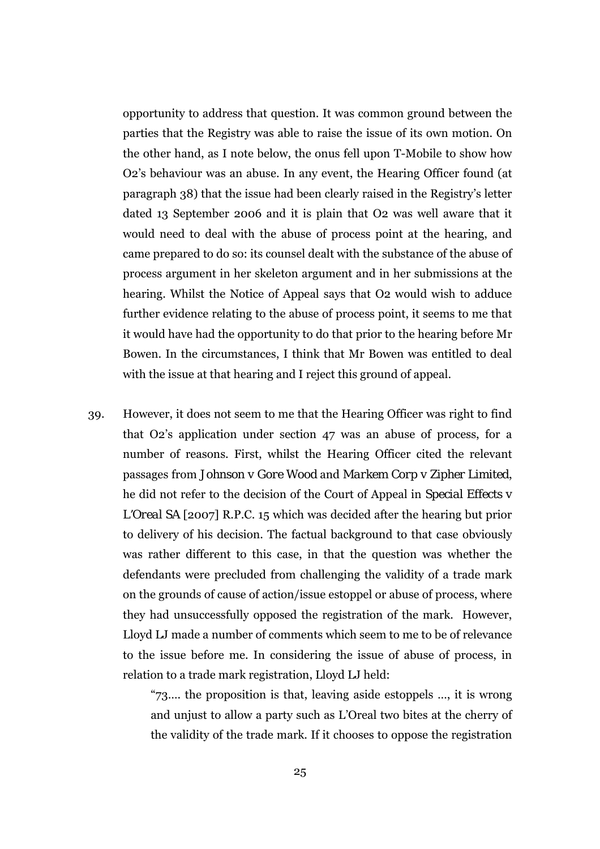opportunity to address that question. It was common ground between the parties that the Registry was able to raise the issue of its own motion. On the other hand, as I note below, the onus fell upon T-Mobile to show how O2's behaviour was an abuse. In any event, the Hearing Officer found (at paragraph 38) that the issue had been clearly raised in the Registry's letter dated 13 September 2006 and it is plain that O2 was well aware that it would need to deal with the abuse of process point at the hearing, and came prepared to do so: its counsel dealt with the substance of the abuse of process argument in her skeleton argument and in her submissions at the hearing. Whilst the Notice of Appeal says that O2 would wish to adduce further evidence relating to the abuse of process point, it seems to me that it would have had the opportunity to do that prior to the hearing before Mr Bowen. In the circumstances, I think that Mr Bowen was entitled to deal with the issue at that hearing and I reject this ground of appeal.

39. However, it does not seem to me that the Hearing Officer was right to find that O2's application under section 47 was an abuse of process, for a number of reasons. First, whilst the Hearing Officer cited the relevant passages from *Johnson v Gore Wood* and *Markem Corp v Zipher Limited*, he did not refer to the decision of the Court of Appeal in *Special Effects v L'Oreal SA* [2007] R.P.C. 15 which was decided after the hearing but prior to delivery of his decision. The factual background to that case obviously was rather different to this case, in that the question was whether the defendants were precluded from challenging the validity of a trade mark on the grounds of cause of action/issue estoppel or abuse of process, where they had unsuccessfully opposed the registration of the mark. However, Lloyd LJ made a number of comments which seem to me to be of relevance to the issue before me. In considering the issue of abuse of process, in relation to a trade mark registration, Lloyd LJ held:

> "73…. the proposition is that, leaving aside estoppels …, it is wrong and unjust to allow a party such as L'Oreal two bites at the cherry of the validity of the trade mark. If it chooses to oppose the registration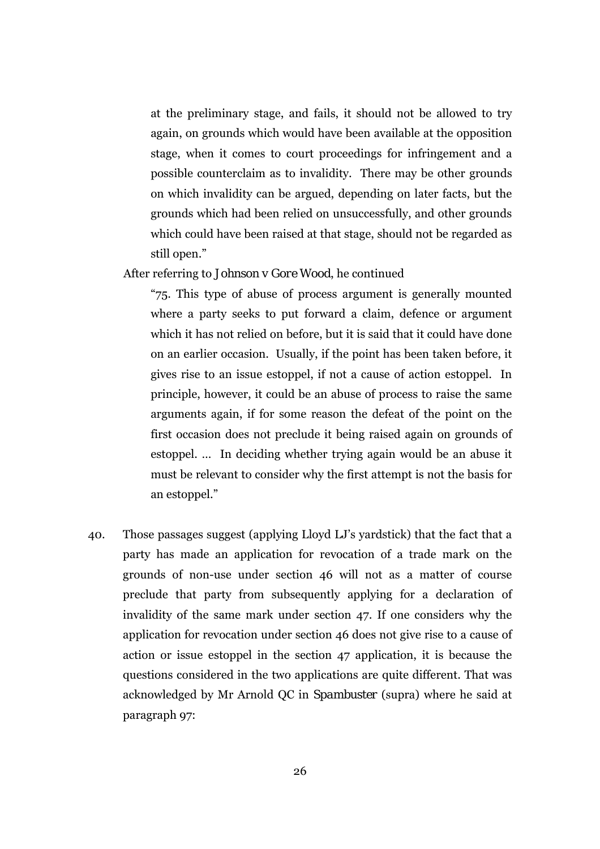at the preliminary stage, and fails, it should not be allowed to try again, on grounds which would have been available at the opposition stage, when it comes to court proceedings for infringement and a possible counterclaim as to invalidity. There may be other grounds on which invalidity can be argued, depending on later facts, but the grounds which had been relied on unsuccessfully, and other grounds which could have been raised at that stage, should not be regarded as still open."

#### After referring to *Johnson v Gore Wood*, he continued

"75. This type of abuse of process argument is generally mounted where a party seeks to put forward a claim, defence or argument which it has not relied on before, but it is said that it could have done on an earlier occasion. Usually, if the point has been taken before, it gives rise to an issue estoppel, if not a cause of action estoppel. In principle, however, it could be an abuse of process to raise the same arguments again, if for some reason the defeat of the point on the first occasion does not preclude it being raised again on grounds of estoppel. … In deciding whether trying again would be an abuse it must be relevant to consider why the first attempt is not the basis for an estoppel."

40. Those passages suggest (applying Lloyd LJ's yardstick) that the fact that a party has made an application for revocation of a trade mark on the grounds of non-use under section 46 will not as a matter of course preclude that party from subsequently applying for a declaration of invalidity of the same mark under section 47. If one considers why the application for revocation under section 46 does not give rise to a cause of action or issue estoppel in the section 47 application, it is because the questions considered in the two applications are quite different. That was acknowledged by Mr Arnold QC in *Spambuster* (supra) where he said at paragraph 97: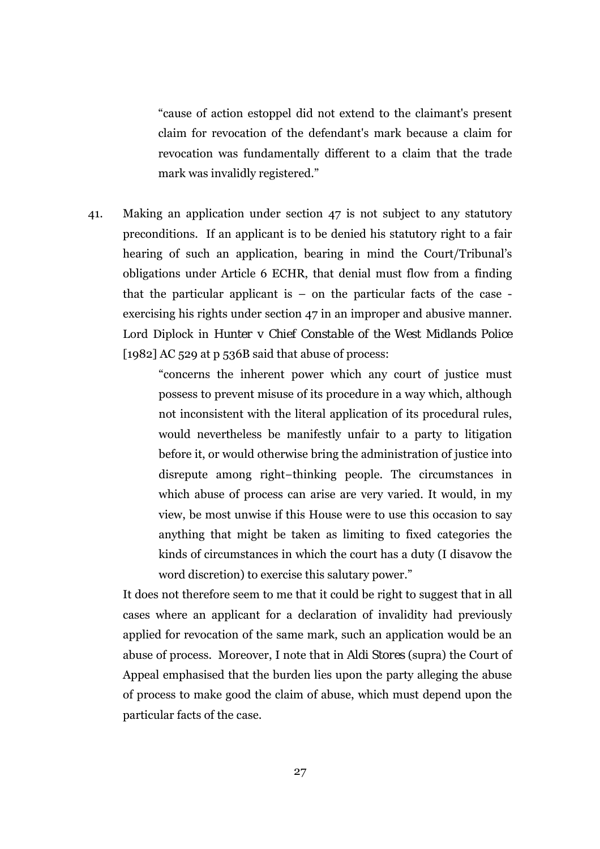"cause of action estoppel did not extend to the claimant's present claim for revocation of the defendant's mark because a claim for revocation was fundamentally different to a claim that the trade mark was invalidly registered."

41. Making an application under section 47 is not subject to any statutory preconditions. If an applicant is to be denied his statutory right to a fair hearing of such an application, bearing in mind the Court/Tribunal's obligations under Article 6 ECHR, that denial must flow from a finding that the particular applicant is  $-$  on the particular facts of the case  $$ exercising his rights under section 47 in an improper and abusive manner. Lord Diplock in *Hunter v Chief Constable of the West Midlands Police*  [1982] AC 529 at p 536B said that abuse of process:

> "concerns the inherent power which any court of justice must possess to prevent misuse of its procedure in a way which, although not inconsistent with the literal application of its procedural rules, would nevertheless be manifestly unfair to a party to litigation before it, or would otherwise bring the administration of justice into disrepute among right−thinking people. The circumstances in which abuse of process can arise are very varied. It would, in my view, be most unwise if this House were to use this occasion to say anything that might be taken as limiting to fixed categories the kinds of circumstances in which the court has a duty (I disavow the word discretion) to exercise this salutary power."

It does not therefore seem to me that it could be right to suggest that in *all* cases where an applicant for a declaration of invalidity had previously applied for revocation of the same mark, such an application would be an abuse of process. Moreover, I note that in *Aldi Stores* (supra) the Court of Appeal emphasised that the burden lies upon the party alleging the abuse of process to make good the claim of abuse, which must depend upon the particular facts of the case.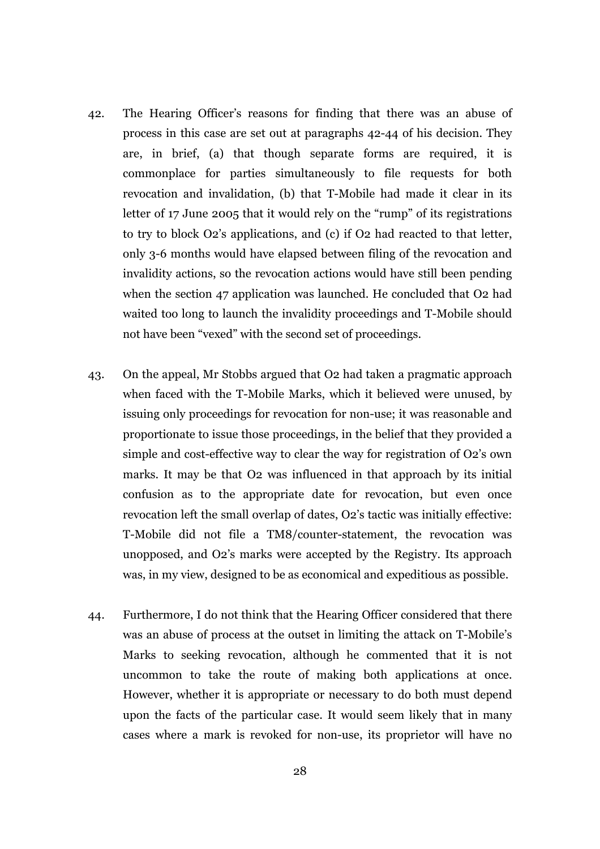- 42. The Hearing Officer's reasons for finding that there was an abuse of process in this case are set out at paragraphs 42-44 of his decision. They are, in brief, (a) that though separate forms are required, it is commonplace for parties simultaneously to file requests for both revocation and invalidation, (b) that T-Mobile had made it clear in its letter of 17 June 2005 that it would rely on the "rump" of its registrations to try to block O2's applications, and (c) if O2 had reacted to that letter, only 3-6 months would have elapsed between filing of the revocation and invalidity actions, so the revocation actions would have still been pending when the section 47 application was launched. He concluded that O2 had waited too long to launch the invalidity proceedings and T-Mobile should not have been "vexed" with the second set of proceedings.
- 43. On the appeal, Mr Stobbs argued that O2 had taken a pragmatic approach when faced with the T-Mobile Marks, which it believed were unused, by issuing only proceedings for revocation for non-use; it was reasonable and proportionate to issue those proceedings, in the belief that they provided a simple and cost-effective way to clear the way for registration of O2's own marks. It may be that O2 was influenced in that approach by its initial confusion as to the appropriate date for revocation, but even once revocation left the small overlap of dates, O2's tactic was initially effective: T-Mobile did not file a TM8/counter-statement, the revocation was unopposed, and O2's marks were accepted by the Registry. Its approach was, in my view, designed to be as economical and expeditious as possible.
- 44. Furthermore, I do not think that the Hearing Officer considered that there was an abuse of process at the outset in limiting the attack on T-Mobile's Marks to seeking revocation, although he commented that it is not uncommon to take the route of making both applications at once. However, whether it is appropriate or necessary to do both must depend upon the facts of the particular case. It would seem likely that in many cases where a mark is revoked for non-use, its proprietor will have no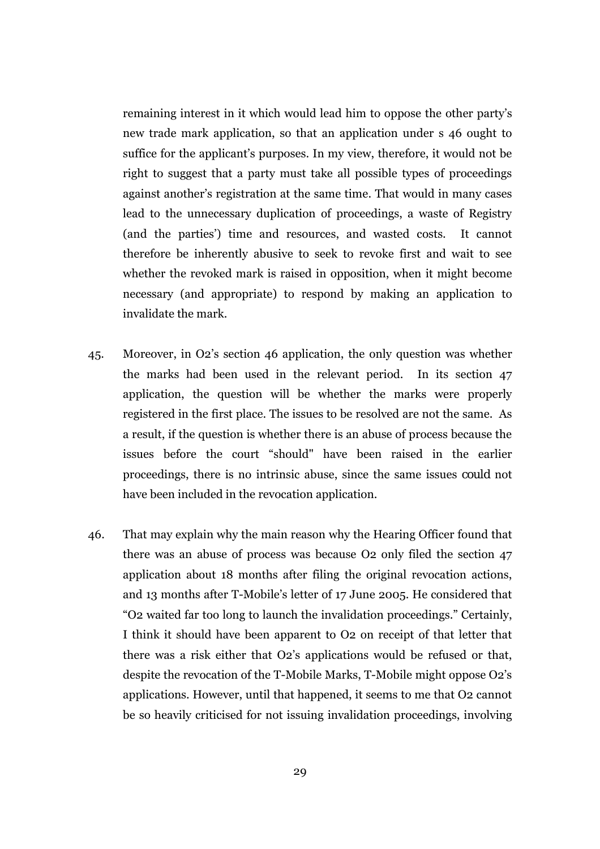remaining interest in it which would lead him to oppose the other party's new trade mark application, so that an application under s 46 ought to suffice for the applicant's purposes. In my view, therefore, it would not be right to suggest that a party must take all possible types of proceedings against another's registration at the same time. That would in many cases lead to the unnecessary duplication of proceedings, a waste of Registry (and the parties') time and resources, and wasted costs. It cannot therefore be inherently abusive to seek to revoke first and wait to see whether the revoked mark is raised in opposition, when it might become necessary (and appropriate) to respond by making an application to invalidate the mark.

- 45. Moreover, in O2's section 46 application, the only question was whether the marks had been used in the relevant period. In its section 47 application, the question will be whether the marks were properly registered in the first place. The issues to be resolved are not the same. As a result, if the question is whether there is an abuse of process because the issues before the court "should" have been raised in the earlier proceedings, there is no intrinsic abuse, since the same issues *could* not have been included in the revocation application.
- 46. That may explain why the main reason why the Hearing Officer found that there was an abuse of process was because O2 only filed the section 47 application about 18 months after filing the original revocation actions, and 13 months after T-Mobile's letter of 17 June 2005. He considered that "O2 waited far too long to launch the invalidation proceedings." Certainly, I think it should have been apparent to O2 on receipt of that letter that there was a risk either that O2's applications would be refused or that, despite the revocation of the T-Mobile Marks, T-Mobile might oppose O2's applications. However, until that happened, it seems to me that O2 cannot be so heavily criticised for not issuing invalidation proceedings, involving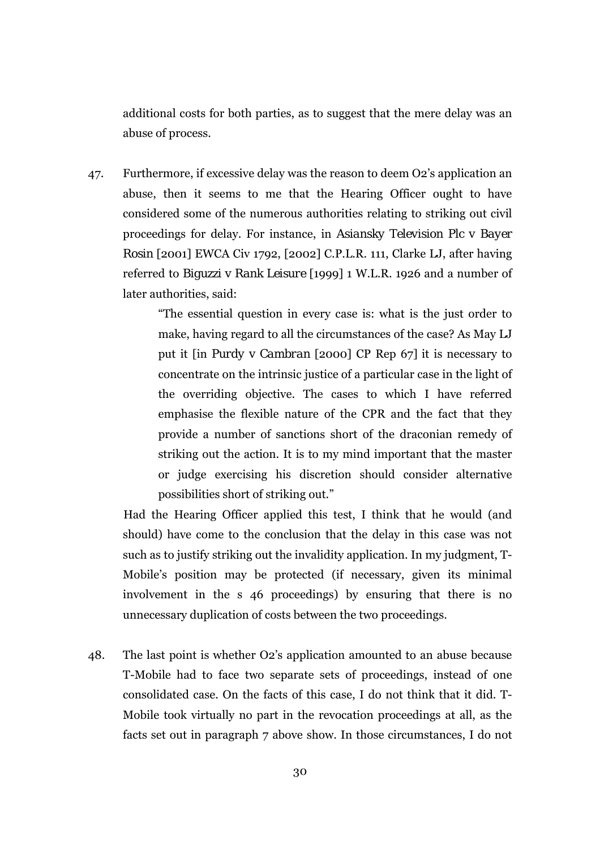additional costs for both parties, as to suggest that the mere delay was an abuse of process.

47. Furthermore, if excessive delay was the reason to deem O2's application an abuse, then it seems to me that the Hearing Officer ought to have considered some of the numerous authorities relating to striking out civil proceedings for delay. For instance, in *Asiansky Television Plc v Bayer Rosin* [2001] EWCA Civ 1792, [2002] C.P.L.R. 111, Clarke LJ, after having referred to *Biguzzi v Rank Leisure* [1999] 1 W.L.R. 1926 and a number of later authorities, said:

> "The essential question in every case is: what is the just order to make, having regard to all the circumstances of the case? As May LJ put it [in *Purdy v Cambran* [2000] CP Rep 67] it is necessary to concentrate on the intrinsic justice of a particular case in the light of the overriding objective. The cases to which I have referred emphasise the flexible nature of the CPR and the fact that they provide a number of sanctions short of the draconian remedy of striking out the action. It is to my mind important that the master or judge exercising his discretion should consider alternative possibilities short of striking out."

Had the Hearing Officer applied this test, I think that he would (and should) have come to the conclusion that the delay in this case was not such as to justify striking out the invalidity application. In my judgment, T-Mobile's position may be protected (if necessary, given its minimal involvement in the s 46 proceedings) by ensuring that there is no unnecessary duplication of costs between the two proceedings.

48. The last point is whether O2's application amounted to an abuse because T-Mobile had to face two separate sets of proceedings, instead of one consolidated case. On the facts of this case, I do not think that it did. T-Mobile took virtually no part in the revocation proceedings at all, as the facts set out in paragraph 7 above show. In those circumstances, I do not